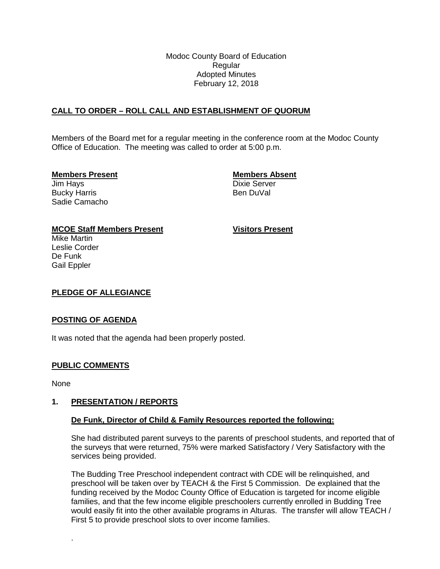Modoc County Board of Education Regular Adopted Minutes February 12, 2018

# **CALL TO ORDER – ROLL CALL AND ESTABLISHMENT OF QUORUM**

Members of the Board met for a regular meeting in the conference room at the Modoc County Office of Education. The meeting was called to order at 5:00 p.m.

### **Members Present Members Absent**

Jim Hays Dixie Server Bucky Harris **Bucky Harris Ben DuVal** Sadie Camacho

## **MCOE Staff Members Present Visitors Present**

Mike Martin Leslie Corder De Funk Gail Eppler

## **PLEDGE OF ALLEGIANCE**

#### **POSTING OF AGENDA**

It was noted that the agenda had been properly posted.

## **PUBLIC COMMENTS**

None

.

#### **1. PRESENTATION / REPORTS**

#### **De Funk, Director of Child & Family Resources reported the following:**

She had distributed parent surveys to the parents of preschool students, and reported that of the surveys that were returned, 75% were marked Satisfactory / Very Satisfactory with the services being provided.

The Budding Tree Preschool independent contract with CDE will be relinquished, and preschool will be taken over by TEACH & the First 5 Commission. De explained that the funding received by the Modoc County Office of Education is targeted for income eligible families, and that the few income eligible preschoolers currently enrolled in Budding Tree would easily fit into the other available programs in Alturas. The transfer will allow TEACH / First 5 to provide preschool slots to over income families.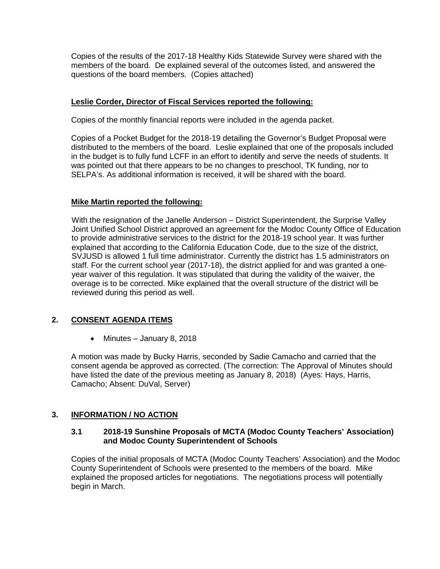Copies of the results of the 2017-18 Healthy Kids Statewide Survey were shared with the members of the board. De explained several of the outcomes listed, and answered the questions of the board members. (Copies attached)

## **Leslie Corder, Director of Fiscal Services reported the following:**

Copies of the monthly financial reports were included in the agenda packet.

Copies of a Pocket Budget for the 2018-19 detailing the Governor's Budget Proposal were distributed to the members of the board. Leslie explained that one of the proposals included in the budget is to fully fund LCFF in an effort to identify and serve the needs of students. It was pointed out that there appears to be no changes to preschool, TK funding, nor to SELPA's. As additional information is received, it will be shared with the board.

### **Mike Martin reported the following:**

With the resignation of the Janelle Anderson – District Superintendent, the Surprise Valley Joint Unified School District approved an agreement for the Modoc County Office of Education to provide administrative services to the district for the 2018-19 school year. It was further explained that according to the California Education Code, due to the size of the district, SVJUSD is allowed 1 full time administrator. Currently the district has 1.5 administrators on staff. For the current school year (2017-18), the district applied for and was granted a oneyear waiver of this regulation. It was stipulated that during the validity of the waiver, the overage is to be corrected. Mike explained that the overall structure of the district will be reviewed during this period as well.

# **2. CONSENT AGENDA ITEMS**

• Minutes – January 8, 2018

A motion was made by Bucky Harris, seconded by Sadie Camacho and carried that the consent agenda be approved as corrected. (The correction: The Approval of Minutes should have listed the date of the previous meeting as January 8, 2018) (Ayes: Hays, Harris, Camacho; Absent: DuVal, Server)

## **3. INFORMATION / NO ACTION**

### **3.1 2018-19 Sunshine Proposals of MCTA (Modoc County Teachers' Association) and Modoc County Superintendent of Schools**

Copies of the initial proposals of MCTA (Modoc County Teachers' Association) and the Modoc County Superintendent of Schools were presented to the members of the board. Mike explained the proposed articles for negotiations. The negotiations process will potentially begin in March.